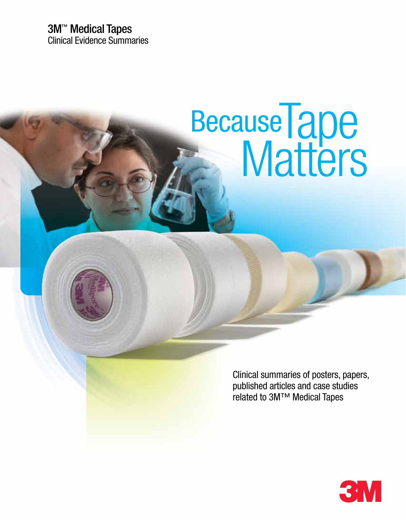# 3M™ Medical Tapes Clinical Evidence Summaries

# auseTape Because

Clinical summaries of posters, papers, published articles and case studies related to 3M™ Medical Tapes

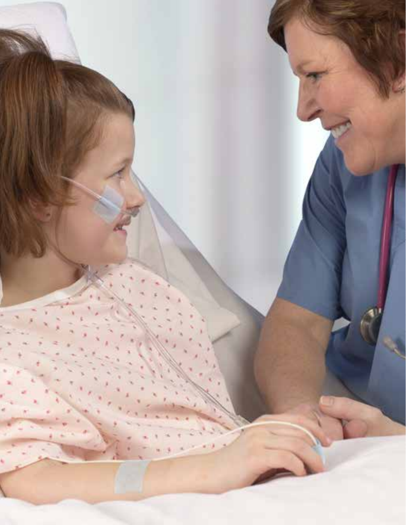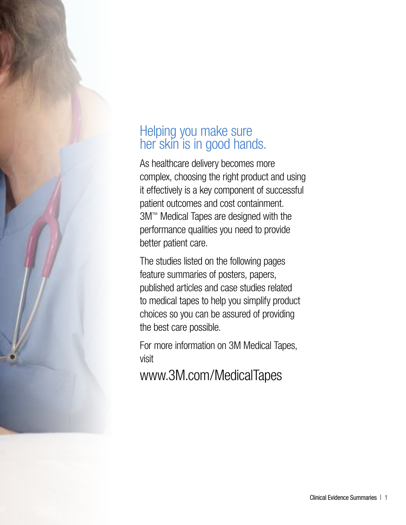# Helping you make sure her skin is in good hands.

As healthcare delivery becomes more complex, choosing the right product and using it effectively is a key component of successful patient outcomes and cost containment. 3M™ Medical Tapes are designed with the performance qualities you need to provide better patient care.

The studies listed on the following pages feature summaries of posters, papers, published articles and case studies related to medical tapes to help you simplify product choices so you can be assured of providing the best care possible.

For more information on 3M Medical Tapes, visit

www.3M.com/MedicalTapes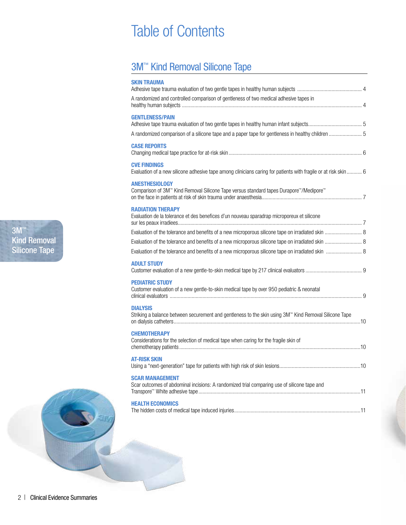# Table of Contents

# 3M™ Kind Removal Silicone Tape

| <b>SKIN TRAUMA</b>                                                                                                                    |  |
|---------------------------------------------------------------------------------------------------------------------------------------|--|
| A randomized and controlled comparison of gentleness of two medical adhesive tapes in                                                 |  |
| <b>GENTLENESS/PAIN</b>                                                                                                                |  |
| A randomized comparison of a silicone tape and a paper tape for gentleness in healthy children  5                                     |  |
| <b>CASE REPORTS</b>                                                                                                                   |  |
| <b>CVE FINDINGS</b><br>Evaluation of a new silicone adhesive tape among clinicians caring for patients with fragile or at risk skin 6 |  |
| <b>ANESTHESIOLOGY</b><br>Comparison of 3M™ Kind Removal Silicone Tape versus standard tapes Durapore™/Medipore™                       |  |
| <b>RADIATION THERAPY</b><br>Evaluation de la tolerance et des benefices d'un nouveau sparadrap microporeux et silicone                |  |
| Evaluation of the tolerance and benefits of a new microporous silicone tape on irradiated skin  8                                     |  |
|                                                                                                                                       |  |
|                                                                                                                                       |  |
| <b>ADULT STUDY</b>                                                                                                                    |  |
| <b>PEDIATRIC STUDY</b><br>Customer evaluation of a new gentle-to-skin medical tape by over 950 pediatric & neonatal                   |  |
| <b>DIALYSIS</b><br>Striking a balance between securement and gentleness to the skin using 3M™ Kind Removal Silicone Tape              |  |
| <b>CHEMOTHERAPY</b><br>Considerations for the selection of medical tape when caring for the fragile skin of                           |  |
| <b>AT-RISK SKIN</b>                                                                                                                   |  |
| <b>SCAR MANAGEMENT</b><br>Scar outcomes of abdominal incisions: A randomized trial comparing use of silicone tape and                 |  |
| <b>HEALTH ECONOMICS</b>                                                                                                               |  |

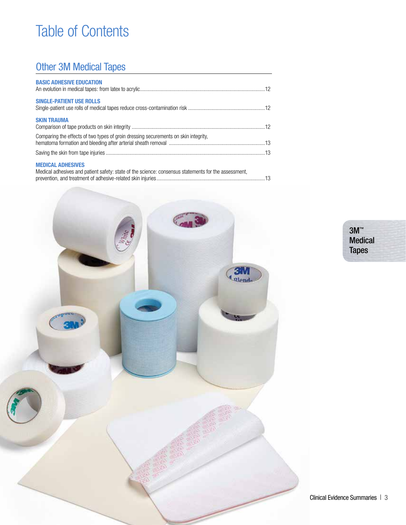# Table of Contents

# Other 3M Medical Tapes

| <b>BASIC ADHESIVE EDUCATION</b>                                                     |  |
|-------------------------------------------------------------------------------------|--|
| <b>SINGLE-PATIENT USE ROLLS</b>                                                     |  |
| <b>SKIN TRAUMA</b>                                                                  |  |
| Comparing the effects of two types of groin dressing securements on skin integrity, |  |
|                                                                                     |  |

#### **MEDICAL ADHESIVES**

Medical adhesives and patient safety: state of the science: consensus statements for the assessment, prevention, and treatment of adhesive-related skin injuries...............................................................................13



3M™ Medical **Tapes**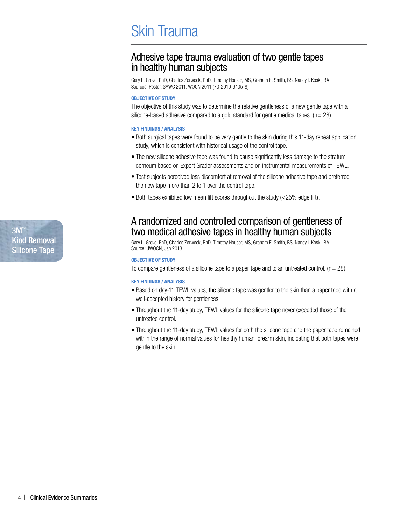# Skin Trauma

### Adhesive tape trauma evaluation of two gentle tapes in healthy human subjects

Gary L. Grove, PhD, Charles Zerweck, PhD, Timothy Houser, MS, Graham E. Smith, BS, Nancy I. Koski, BA Sources: Poster, SAWC 2011, WOCN 2011 (70-2010-9105-8)

#### **Objective of Study**

The objective of this study was to determine the relative gentleness of a new gentle tape with a silicone-based adhesive compared to a gold standard for gentle medical tapes.  $(n= 28)$ 

#### **Key Findings / Analysis**

- Both surgical tapes were found to be very gentle to the skin during this 11-day repeat application study, which is consistent with historical usage of the control tape.
- The new silicone adhesive tape was found to cause significantly less damage to the stratum corneum based on Expert Grader assessments and on instrumental measurements of TEWL.
- Test subjects perceived less discomfort at removal of the silicone adhesive tape and preferred the new tape more than 2 to 1 over the control tape.
- Both tapes exhibited low mean lift scores throughout the study (<25% edge lift).

# A randomized and controlled comparison of gentleness of two medical adhesive tapes in healthy human subjects

Gary L. Grove, PhD, Charles Zerweck, PhD, Timothy Houser, MS, Graham E. Smith, BS, Nancy I. Koski, BA Source: JWOCN, Jan 2013

#### **Objective of Study**

To compare gentleness of a silicone tape to a paper tape and to an untreated control.  $(n=28)$ 

#### **Key Findings / Analysis**

- Based on day-11 TEWL values, the silicone tape was gentler to the skin than a paper tape with a well-accepted history for gentleness.
- Throughout the 11-day study, TEWL values for the silicone tape never exceeded those of the untreated control.
- Throughout the 11-day study, TEWL values for both the silicone tape and the paper tape remained within the range of normal values for healthy human forearm skin, indicating that both tapes were gentle to the skin.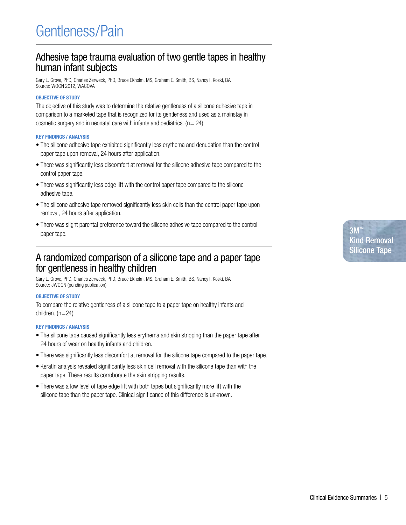# Adhesive tape trauma evaluation of two gentle tapes in healthy human infant subjects

Gary L. Grove, PhD, Charles Zerweck, PhD, Bruce Ekholm, MS, Graham E. Smith, BS, Nancy I. Koski, BA Source: WOCN 2012, WACOVA

#### **Objective of Study**

The objective of this study was to determine the relative gentleness of a silicone adhesive tape in comparison to a marketed tape that is recognized for its gentleness and used as a mainstay in cosmetic surgery and in neonatal care with infants and pediatrics.  $(n= 24)$ 

#### **Key Findings / Analysis**

- The silicone adhesive tape exhibited significantly less erythema and denudation than the control paper tape upon removal, 24 hours after application.
- There was significantly less discomfort at removal for the silicone adhesive tape compared to the control paper tape.
- There was significantly less edge lift with the control paper tape compared to the silicone adhesive tape.
- The silicone adhesive tape removed significantly less skin cells than the control paper tape upon removal, 24 hours after application.
- There was slight parental preference toward the silicone adhesive tape compared to the control paper tape.

### A randomized comparison of a silicone tape and a paper tape for gentleness in healthy children

Gary L. Grove, PhD, Charles Zerweck, PhD, Bruce Ekholm, MS, Graham E. Smith, BS, Nancy I. Koski, BA Source: JWOCN (pending publication)

#### **Objective of Study**

To compare the relative gentleness of a silicone tape to a paper tape on healthy infants and children. (n=24)

#### **Key Findings / Analysis**

- The silicone tape caused significantly less erythema and skin stripping than the paper tape after 24 hours of wear on healthy infants and children.
- There was significantly less discomfort at removal for the silicone tape compared to the paper tape.
- Keratin analysis revealed significantly less skin cell removal with the silicone tape than with the paper tape. These results corroborate the skin stripping results.
- There was a low level of tape edge lift with both tapes but significantly more lift with the silicone tape than the paper tape. Clinical significance of this difference is unknown.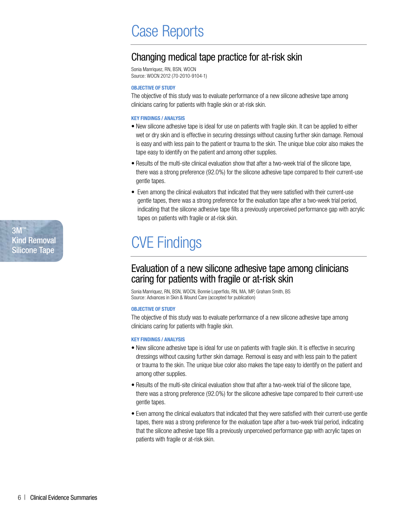# Case Reports

# Changing medical tape practice for at-risk skin

Sonia Manriquez, RN, BSN, WOCN Source: WOCN 2012 (70-2010-9104-1)

#### **Objective of Study**

The objective of this study was to evaluate performance of a new silicone adhesive tape among clinicians caring for patients with fragile skin or at-risk skin.

#### **Key Findings / Analysis**

- New silicone adhesive tape is ideal for use on patients with fragile skin. It can be applied to either wet or dry skin and is effective in securing dressings without causing further skin damage. Removal is easy and with less pain to the patient or trauma to the skin. The unique blue color also makes the tape easy to identify on the patient and among other supplies.
- Results of the multi-site clinical evaluation show that after a two-week trial of the silicone tape, there was a strong preference (92.0%) for the silicone adhesive tape compared to their current-use gentle tapes.
- Even among the clinical evaluators that indicated that they were satisfied with their current-use gentle tapes, there was a strong preference for the evaluation tape after a two-week trial period, indicating that the silicone adhesive tape fills a previously unperceived performance gap with acrylic tapes on patients with fragile or at-risk skin.

# CVE Findings

### Evaluation of a new silicone adhesive tape among clinicians caring for patients with fragile or at-risk skin

Sonia Manriquez, RN, BSN, WOCN, Bonnie Loperfido, RN, MA, MP, Graham Smith, BS Source: Advances in Skin & Wound Care (accepted for publication)

#### **Objective of Study**

The objective of this study was to evaluate performance of a new silicone adhesive tape among clinicians caring for patients with fragile skin.

#### **Key Findings / Analysis**

- New silicone adhesive tape is ideal for use on patients with fragile skin. It is effective in securing dressings without causing further skin damage. Removal is easy and with less pain to the patient or trauma to the skin. The unique blue color also makes the tape easy to identify on the patient and among other supplies.
- Results of the multi-site clinical evaluation show that after a two-week trial of the silicone tape, there was a strong preference (92.0%) for the silicone adhesive tape compared to their current-use gentle tapes.
- Even among the clinical evaluators that indicated that they were satisfied with their current-use gentle tapes, there was a strong preference for the evaluation tape after a two-week trial period, indicating that the silicone adhesive tape fills a previously unperceived performance gap with acrylic tapes on patients with fragile or at-risk skin.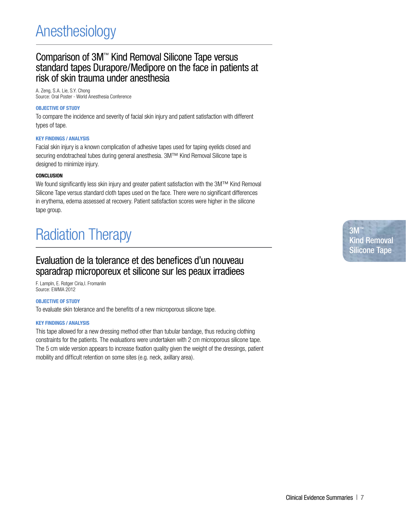### Comparison of 3M™ Kind Removal Silicone Tape versus standard tapes Durapore/Medipore on the face in patients at risk of skin trauma under anesthesia

A. Zeng, S.A. Lie, S.Y. Chong Source: Oral Poster - World Anesthesia Conference

#### **Objective of Study**

To compare the incidence and severity of facial skin injury and patient satisfaction with different types of tape.

#### **Key Findings / Analysis**

Facial skin injury is a known complication of adhesive tapes used for taping eyelids closed and securing endotracheal tubes during general anesthesia. 3M™ Kind Removal Silicone tape is designed to minimize injury.

#### **CONCLUSION**

We found significantly less skin injury and greater patient satisfaction with the 3M™ Kind Removal Silicone Tape versus standard cloth tapes used on the face. There were no significant differences in erythema, edema assessed at recovery. Patient satisfaction scores were higher in the silicone tape group.

# Radiation Therapy

### Evaluation de la tolerance et des benefices d'un nouveau sparadrap microporeux et silicone sur les peaux irradiees

F. Lampln, E. Rotger Ciria,I. Fromanlin Source: EWMA 2012

#### **Objective of Study**

To evaluate skin tolerance and the benefits of a new microporous silicone tape.

#### **Key Findings / Analysis**

This tape allowed for a new dressing method other than tubular bandage, thus reducing clothing constraints for the patients. The evaluations were undertaken with 2 cm microporous silicone tape. The 5 cm wide version appears to increase fixation quality given the weight of the dressings, patient mobility and difficult retention on some sites (e.g. neck, axillary area).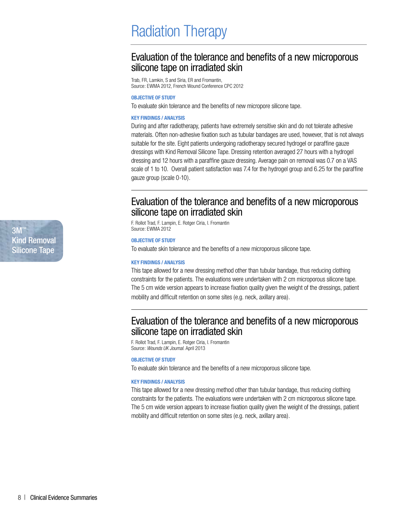# Radiation Therapy

# Evaluation of the tolerance and benefits of a new microporous silicone tape on irradiated skin

Trab, FR, Lamkin, S and Siria, ER and Fromantin, Source: EWMA 2012, French Wound Conference CPC 2012

#### **Objective of Study**

To evaluate skin tolerance and the benefits of new micropore silicone tape.

#### **Key Findings / Analysis**

During and after radiotherapy, patients have extremely sensitive skin and do not tolerate adhesive materials. Often non-adhesive fixation such as tubular bandages are used, however, that is not always suitable for the site. Eight patients undergoing radiotherapy secured hydrogel or paraffine gauze dressings with Kind Removal Silicone Tape. Dressing retention averaged 27 hours with a hydrogel dressing and 12 hours with a paraffine gauze dressing. Average pain on removal was 0.7 on a VAS scale of 1 to 10. Overall patient satisfaction was 7.4 for the hydrogel group and 6.25 for the paraffine gauze group (scale 0-10).

### Evaluation of the tolerance and benefits of a new microporous silicone tape on irradiated skin

F. Rollot Trad, F. Lampin, E. Rotger Ciria, I. Fromantin Source: EWMA 2012

#### **Objective of Study**

To evaluate skin tolerance and the benefits of a new microporous silicone tape.

#### **Key Findings / Analysis**

This tape allowed for a new dressing method other than tubular bandage, thus reducing clothing constraints for the patients. The evaluations were undertaken with 2 cm microporous silicone tape. The 5 cm wide version appears to increase fixation quality given the weight of the dressings, patient mobility and difficult retention on some sites (e.g. neck, axillary area).

### Evaluation of the tolerance and benefits of a new microporous silicone tape on irradiated skin

F. Rollot Trad, F. Lampin, E. Rotger Ciria, I. Fromantin Source: *Wounds UK Journal.* April 2013

#### **Objective of Study**

To evaluate skin tolerance and the benefits of a new microporous silicone tape.

#### **Key Findings / Analysis**

This tape allowed for a new dressing method other than tubular bandage, thus reducing clothing constraints for the patients. The evaluations were undertaken with 2 cm microporous silicone tape. The 5 cm wide version appears to increase fixation quality given the weight of the dressings, patient mobility and difficult retention on some sites (e.g. neck, axillary area).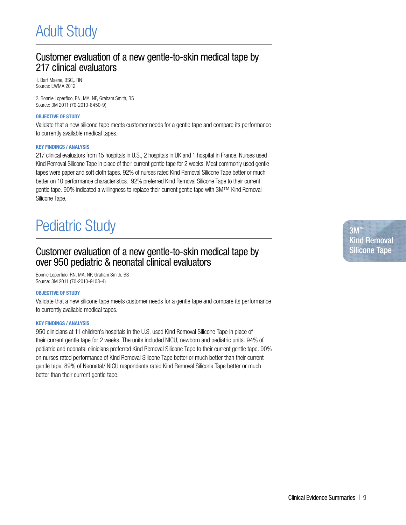### Customer evaluation of a new gentle-to-skin medical tape by 217 clinical evaluators

1. Bart Maene, BSC,. RN Source: EWMA 2012

2. Bonnie Loperfido, RN, MA, NP, Graham Smith, BS Source: 3M 2011 (70-2010-8450-9)

#### **Objective of Study**

Validate that a new silicone tape meets customer needs for a gentle tape and compare its performance to currently available medical tapes.

#### **Key Findings / Analysis**

217 clinical evaluators from 15 hospitals in U.S., 2 hospitals in UK and 1 hospital in France. Nurses used Kind Removal Silicone Tape in place of their current gentle tape for 2 weeks. Most commonly used gentle tapes were paper and soft cloth tapes. 92% of nurses rated Kind Removal Silicone Tape better or much better on 10 performance characteristics. 92% preferred Kind Removal Silicone Tape to their current gentle tape. 90% indicated a willingness to replace their current gentle tape with 3M™ Kind Removal Silicone Tape.

# Pediatric Study

### Customer evaluation of a new gentle-to-skin medical tape by over 950 pediatric & neonatal clinical evaluators

Bonnie Loperfido, RN, MA, NP, Graham Smith, BS Source: 3M 2011 (70-2010-9103-4)

#### **Objective of Study**

Validate that a new silicone tape meets customer needs for a gentle tape and compare its performance to currently available medical tapes.

#### **Key Findings / Analysis**

950 clinicians at 11 children's hospitals in the U.S. used Kind Removal Silicone Tape in place of their current gentle tape for 2 weeks. The units included NICU, newborn and pediatric units. 94% of pediatric and neonatal clinicians preferred Kind Removal Silicone Tape to their current gentle tape. 90% on nurses rated performance of Kind Removal Silicone Tape better or much better than their current gentle tape. 89% of Neonatal/ NICU respondents rated Kind Removal Silicone Tape better or much better than their current gentle tape.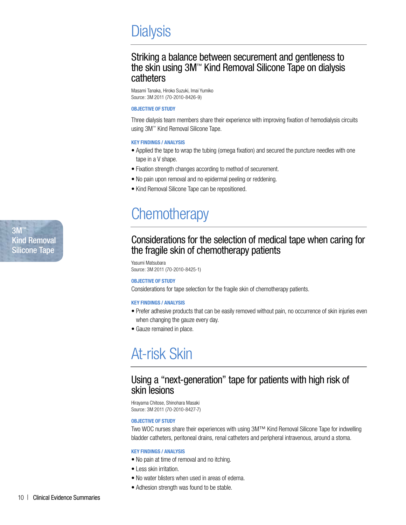# **Dialysis**

### Striking a balance between securement and gentleness to the skin using 3M™ Kind Removal Silicone Tape on dialysis catheters

Masami Tanaka, Hiroko Suzuki, Imai Yumiko Source: 3M 2011 (70-2010-8426-9)

#### **Objective of Study**

Three dialysis team members share their experience with improving fixation of hemodialysis circuits using 3M™ Kind Removal Silicone Tape.

#### **Key Findings / Analysis**

- Applied the tape to wrap the tubing (omega fixation) and secured the puncture needles with one tape in a V shape.
- Fixation strength changes according to method of securement.
- No pain upon removal and no epidermal peeling or reddening.
- Kind Removal Silicone Tape can be repositioned.

# **Chemotherapy**

# Considerations for the selection of medical tape when caring for the fragile skin of chemotherapy patients

Yasumi Matsubara Source: 3M 2011 (70-2010-8425-1)

#### **Objective of Study**

Considerations for tape selection for the fragile skin of chemotherapy patients.

#### **Key Findings / Analysis**

- Prefer adhesive products that can be easily removed without pain, no occurrence of skin injuries even when changing the gauze every day.
- Gauze remained in place.

# At-risk Skin

### Using a "next-generation" tape for patients with high risk of skin lesions

Hirayama Chitose, Shinohara Masaki Source: 3M 2011 (70-2010-8427-7)

#### **Objective of Study**

Two WOC nurses share their experiences with using 3M™ Kind Removal Silicone Tape for indwelling bladder catheters, peritoneal drains, renal catheters and peripheral intravenous, around a stoma.

#### **Key Findings / Analysis**

- No pain at time of removal and no itching.
- Less skin irritation.
- No water blisters when used in areas of edema.
- Adhesion strength was found to be stable.

3M™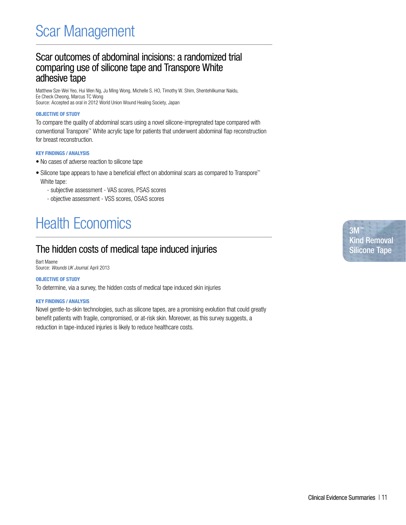# Scar Management

### Scar outcomes of abdominal incisions: a randomized trial comparing use of silicone tape and Transpore White adhesive tape

Matthew Sze-Wei Yeo, Hui Wen Ng, Ju Ming Wong, Michelle S. HO, Timothy W. Shim, Shentehilkumar Naidu, Ee Check Cheong, Marcus TC Wong Source: Accepted as oral in 2012 World Union Wound Healing Society, Japan

#### **Objective of Study**

To compare the quality of abdominal scars using a novel silicone-impregnated tape compared with conventional Transpore™ White acrylic tape for patients that underwent abdominal flap reconstruction for breast reconstruction.

#### **Key Findings / Analysis**

- No cases of adverse reaction to silicone tape
- Silicone tape appears to have a beneficial effect on abdominal scars as compared to Transpore™ White tape:
	- subjective assessment VAS scores, PSAS scores
	- objective assessment VSS scores, OSAS scores

# Health Economics

# The hidden costs of medical tape induced injuries

Bart Maene Source: *Wounds UK Journal*. April 2013

**Objective of Study** To determine, via a survey, the hidden costs of medical tape induced skin injuries

#### **Key Findings / Analysis**

Novel gentle-to-skin technologies, such as silicone tapes, are a promising evolution that could greatly benefit patients with fragile, compromised, or at-risk skin. Moreover, as this survey suggests, a reduction in tape-induced injuries is likely to reduce healthcare costs.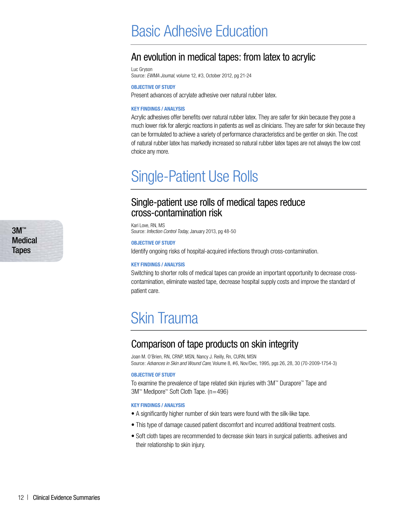# An evolution in medical tapes: from latex to acrylic

Luc Gryson Source: *EWMA Journal,* volume 12, #3, October 2012, pg 21-24

#### **Objective of Study**

Present advances of acrylate adhesive over natural rubber latex.

#### **Key Findings / Analysis**

Acrylic adhesives offer benefits over natural rubber latex. They are safer for skin because they pose a much lower risk for allergic reactions in patients as well as clinicians. They are safer for skin because they can be formulated to achieve a variety of performance characteristics and be gentler on skin. The cost of natural rubber latex has markedly increased so natural rubber latex tapes are not always the low cost choice any more.

# Single-Patient Use Rolls

### Single-patient use rolls of medical tapes reduce cross-contamination risk

Kari Love, RN, MS Source: *Infection Control Today*, January 2013, pg 48-50

#### **Objective of Study**

Identify ongoing risks of hospital-acquired infections through cross-contamination.

#### **Key Findings / Analysis**

Switching to shorter rolls of medical tapes can provide an important opportunity to decrease crosscontamination, eliminate wasted tape, decrease hospital supply costs and improve the standard of patient care.

# Skin Trauma

## Comparison of tape products on skin integrity

Joan M. O'Brien, RN, CRNP, MSN, Nancy J. Reilly, Rn, CURN, MSN Source: *Advances in Skin and Wound Care*, Volume 8, #6, Nov/Dec, 1995, pgs 26, 28, 30 (70-2009-1754-3)

#### **Objective of Study**

To examine the prevalence of tape related skin injuries with 3M™ Durapore™ Tape and 3M™ Medipore™ Soft Cloth Tape. (n=496)

#### **Key Findings / Analysis**

- A significantly higher number of skin tears were found with the silk-like tape.
- This type of damage caused patient discomfort and incurred additional treatment costs.
- Soft cloth tapes are recommended to decrease skin tears in surgical patients. adhesives and their relationship to skin injury.

3M™ **Medical** Tapes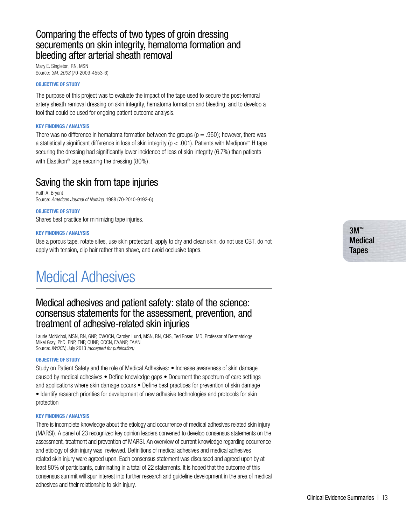### Comparing the effects of two types of groin dressing securements on skin integrity, hematoma formation and bleeding after arterial sheath removal

Mary E. Singleton, RN, MSN Source: *3M, 2003* (70-2009-4553-6)

#### **Objective of Study**

The purpose of this project was to evaluate the impact of the tape used to secure the post-femoral artery sheath removal dressing on skin integrity, hematoma formation and bleeding, and to develop a tool that could be used for ongoing patient outcome analysis.

#### **Key Findings / Analysis**

There was no difference in hematoma formation between the groups ( $p = .960$ ); however, there was a statistically significant difference in loss of skin integrity (p < .001). Patients with Medipore™ H tape securing the dressing had significantly lower incidence of loss of skin integrity (6.7%) than patients with Elastikon® tape securing the dressing (80%).

# Saving the skin from tape injuries

Ruth A. Bryant Source: *American Journal of Nursing*, 1988 (70-2010-9192-6)

#### **OBJECTIVE OF STUDY**

Shares best practice for minimizing tape injuries.

#### **Key Findings / Analysis**

Use a porous tape, rotate sites, use skin protectant, apply to dry and clean skin, do not use CBT, do not apply with tension, clip hair rather than shave, and avoid occlusive tapes.

# Medical Adhesives

### Medical adhesives and patient safety: state of the science: consensus statements for the assessment, prevention, and treatment of adhesive-related skin injuries

Laurie McNichol, MSN, RN, GNP, CWOCN, Carolyn Lund, MSN, RN, CNS, Ted Rosen, MD, Professor of Dermatology Mikel Gray, PhD, PNP, FNP, CUNP, CCCN, FAANP, FAAN Source:*JWOCN,* July 2013 *(accepted for publication)*

#### **Objective of Study**

Study on Patient Safety and the role of Medical Adhesives: • Increase awareness of skin damage caused by medical adhesives • Define knowledge gaps • Document the spectrum of care settings and applications where skin damage occurs • Define best practices for prevention of skin damage • Identify research priorities for development of new adhesive technologies and protocols for skin protection

#### **Key Findings / Analysis**

There is incomplete knowledge about the etiology and occurrence of medical adhesives related skin injury (MARSI). A panel of 23 recognized key opinion leaders convened to develop consensus statements on the assessment, treatment and prevention of MARSI. An overview of current knowledge regarding occurrence and etiology of skin injury was reviewed. Definitions of medical adhesives and medical adhesives related skin injury ware agreed upon. Each consensus statement was discussed and agreed upon by at least 80% of participants, culminating in a total of 22 statements. It is hoped that the outcome of this consensus summit will spur interest into further research and guideline development in the area of medical adhesives and their relationship to skin injury.

3M™ Medical Tapes